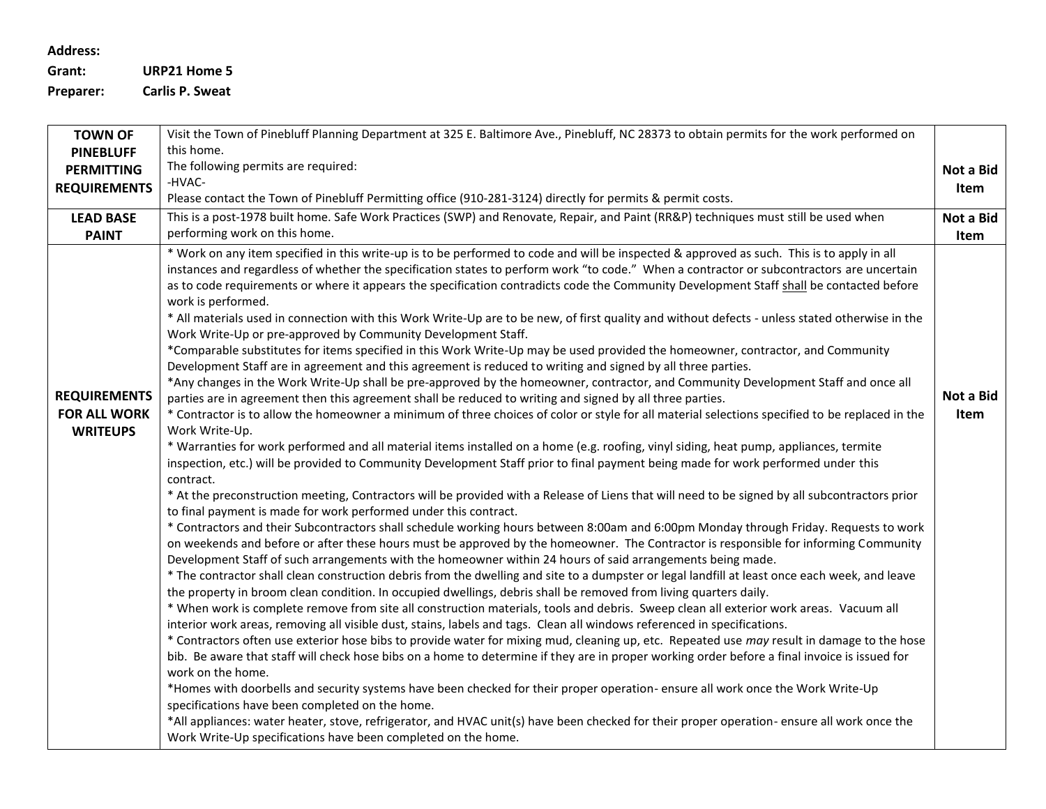## **Address:**

**Grant: URP21 Home 5 Preparer: Carlis P. Sweat**

| <b>TOWN OF</b>                                                | Visit the Town of Pinebluff Planning Department at 325 E. Baltimore Ave., Pinebluff, NC 28373 to obtain permits for the work performed on                                                                                                                                                                                                                                                                                                                                                                                                                                                                                                                                                                                                                                                                                                                                                                                                                                                                                                                                                                                                                                                                                                                                                                                                                                                                                                                                                                                                                                                                                                                                                                                                                                                                                                                                                                                                                                                                                                                                                                                                                                                                                                                                                                                                                                                                                                                                                                                                                                                                                                                                                                                                                                                                                                                                                                                                                                                                                                                                                                                                                                                                                                                                                                                                                                                                                                                                                                                                         |                   |  |  |
|---------------------------------------------------------------|---------------------------------------------------------------------------------------------------------------------------------------------------------------------------------------------------------------------------------------------------------------------------------------------------------------------------------------------------------------------------------------------------------------------------------------------------------------------------------------------------------------------------------------------------------------------------------------------------------------------------------------------------------------------------------------------------------------------------------------------------------------------------------------------------------------------------------------------------------------------------------------------------------------------------------------------------------------------------------------------------------------------------------------------------------------------------------------------------------------------------------------------------------------------------------------------------------------------------------------------------------------------------------------------------------------------------------------------------------------------------------------------------------------------------------------------------------------------------------------------------------------------------------------------------------------------------------------------------------------------------------------------------------------------------------------------------------------------------------------------------------------------------------------------------------------------------------------------------------------------------------------------------------------------------------------------------------------------------------------------------------------------------------------------------------------------------------------------------------------------------------------------------------------------------------------------------------------------------------------------------------------------------------------------------------------------------------------------------------------------------------------------------------------------------------------------------------------------------------------------------------------------------------------------------------------------------------------------------------------------------------------------------------------------------------------------------------------------------------------------------------------------------------------------------------------------------------------------------------------------------------------------------------------------------------------------------------------------------------------------------------------------------------------------------------------------------------------------------------------------------------------------------------------------------------------------------------------------------------------------------------------------------------------------------------------------------------------------------------------------------------------------------------------------------------------------------------------------------------------------------------------------------------------------------|-------------------|--|--|
| <b>PINEBLUFF</b>                                              | this home.                                                                                                                                                                                                                                                                                                                                                                                                                                                                                                                                                                                                                                                                                                                                                                                                                                                                                                                                                                                                                                                                                                                                                                                                                                                                                                                                                                                                                                                                                                                                                                                                                                                                                                                                                                                                                                                                                                                                                                                                                                                                                                                                                                                                                                                                                                                                                                                                                                                                                                                                                                                                                                                                                                                                                                                                                                                                                                                                                                                                                                                                                                                                                                                                                                                                                                                                                                                                                                                                                                                                        |                   |  |  |
| <b>PERMITTING</b>                                             | The following permits are required:                                                                                                                                                                                                                                                                                                                                                                                                                                                                                                                                                                                                                                                                                                                                                                                                                                                                                                                                                                                                                                                                                                                                                                                                                                                                                                                                                                                                                                                                                                                                                                                                                                                                                                                                                                                                                                                                                                                                                                                                                                                                                                                                                                                                                                                                                                                                                                                                                                                                                                                                                                                                                                                                                                                                                                                                                                                                                                                                                                                                                                                                                                                                                                                                                                                                                                                                                                                                                                                                                                               |                   |  |  |
| <b>REQUIREMENTS</b>                                           | -HVAC-                                                                                                                                                                                                                                                                                                                                                                                                                                                                                                                                                                                                                                                                                                                                                                                                                                                                                                                                                                                                                                                                                                                                                                                                                                                                                                                                                                                                                                                                                                                                                                                                                                                                                                                                                                                                                                                                                                                                                                                                                                                                                                                                                                                                                                                                                                                                                                                                                                                                                                                                                                                                                                                                                                                                                                                                                                                                                                                                                                                                                                                                                                                                                                                                                                                                                                                                                                                                                                                                                                                                            | Item              |  |  |
|                                                               | Please contact the Town of Pinebluff Permitting office (910-281-3124) directly for permits & permit costs.                                                                                                                                                                                                                                                                                                                                                                                                                                                                                                                                                                                                                                                                                                                                                                                                                                                                                                                                                                                                                                                                                                                                                                                                                                                                                                                                                                                                                                                                                                                                                                                                                                                                                                                                                                                                                                                                                                                                                                                                                                                                                                                                                                                                                                                                                                                                                                                                                                                                                                                                                                                                                                                                                                                                                                                                                                                                                                                                                                                                                                                                                                                                                                                                                                                                                                                                                                                                                                        |                   |  |  |
| <b>LEAD BASE</b>                                              | This is a post-1978 built home. Safe Work Practices (SWP) and Renovate, Repair, and Paint (RR&P) techniques must still be used when                                                                                                                                                                                                                                                                                                                                                                                                                                                                                                                                                                                                                                                                                                                                                                                                                                                                                                                                                                                                                                                                                                                                                                                                                                                                                                                                                                                                                                                                                                                                                                                                                                                                                                                                                                                                                                                                                                                                                                                                                                                                                                                                                                                                                                                                                                                                                                                                                                                                                                                                                                                                                                                                                                                                                                                                                                                                                                                                                                                                                                                                                                                                                                                                                                                                                                                                                                                                               | Not a Bid         |  |  |
| <b>PAINT</b>                                                  | performing work on this home.                                                                                                                                                                                                                                                                                                                                                                                                                                                                                                                                                                                                                                                                                                                                                                                                                                                                                                                                                                                                                                                                                                                                                                                                                                                                                                                                                                                                                                                                                                                                                                                                                                                                                                                                                                                                                                                                                                                                                                                                                                                                                                                                                                                                                                                                                                                                                                                                                                                                                                                                                                                                                                                                                                                                                                                                                                                                                                                                                                                                                                                                                                                                                                                                                                                                                                                                                                                                                                                                                                                     | Item              |  |  |
| <b>REQUIREMENTS</b><br><b>FOR ALL WORK</b><br><b>WRITEUPS</b> | * Work on any item specified in this write-up is to be performed to code and will be inspected & approved as such. This is to apply in all<br>instances and regardless of whether the specification states to perform work "to code." When a contractor or subcontractors are uncertain<br>as to code requirements or where it appears the specification contradicts code the Community Development Staff shall be contacted before<br>work is performed.<br>* All materials used in connection with this Work Write-Up are to be new, of first quality and without defects - unless stated otherwise in the<br>Work Write-Up or pre-approved by Community Development Staff.<br>*Comparable substitutes for items specified in this Work Write-Up may be used provided the homeowner, contractor, and Community<br>Development Staff are in agreement and this agreement is reduced to writing and signed by all three parties.<br>*Any changes in the Work Write-Up shall be pre-approved by the homeowner, contractor, and Community Development Staff and once all<br>parties are in agreement then this agreement shall be reduced to writing and signed by all three parties.<br>* Contractor is to allow the homeowner a minimum of three choices of color or style for all material selections specified to be replaced in the<br>Work Write-Up.<br>* Warranties for work performed and all material items installed on a home (e.g. roofing, vinyl siding, heat pump, appliances, termite<br>inspection, etc.) will be provided to Community Development Staff prior to final payment being made for work performed under this<br>contract.<br>* At the preconstruction meeting, Contractors will be provided with a Release of Liens that will need to be signed by all subcontractors prior<br>to final payment is made for work performed under this contract.<br>* Contractors and their Subcontractors shall schedule working hours between 8:00am and 6:00pm Monday through Friday. Requests to work<br>on weekends and before or after these hours must be approved by the homeowner. The Contractor is responsible for informing Community<br>Development Staff of such arrangements with the homeowner within 24 hours of said arrangements being made.<br>* The contractor shall clean construction debris from the dwelling and site to a dumpster or legal landfill at least once each week, and leave<br>the property in broom clean condition. In occupied dwellings, debris shall be removed from living quarters daily.<br>* When work is complete remove from site all construction materials, tools and debris. Sweep clean all exterior work areas. Vacuum all<br>interior work areas, removing all visible dust, stains, labels and tags. Clean all windows referenced in specifications.<br>* Contractors often use exterior hose bibs to provide water for mixing mud, cleaning up, etc. Repeated use may result in damage to the hose<br>bib. Be aware that staff will check hose bibs on a home to determine if they are in proper working order before a final invoice is issued for<br>work on the home.<br>*Homes with doorbells and security systems have been checked for their proper operation- ensure all work once the Work Write-Up<br>specifications have been completed on the home.<br>*All appliances: water heater, stove, refrigerator, and HVAC unit(s) have been checked for their proper operation- ensure all work once the<br>Work Write-Up specifications have been completed on the home. | Not a Bid<br>Item |  |  |